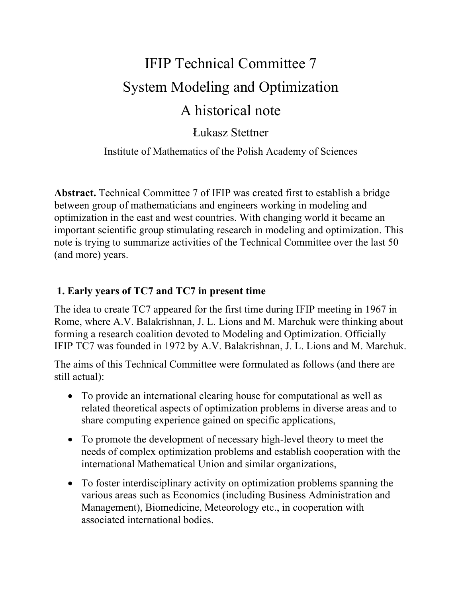# IFIP Technical Committee 7 System Modeling and Optimization A historical note

Łukasz Stettner

Institute of Mathematics of the Polish Academy of Sciences

**Abstract.** Technical Committee 7 of IFIP was created first to establish a bridge between group of mathematicians and engineers working in modeling and optimization in the east and west countries. With changing world it became an important scientific group stimulating research in modeling and optimization. This note is trying to summarize activities of the Technical Committee over the last 50 (and more) years.

## **1. Early years of TC7 and TC7 in present time**

The idea to create TC7 appeared for the first time during IFIP meeting in 1967 in Rome, where A.V. Balakrishnan, J. L. Lions and M. Marchuk were thinking about forming a research coalition devoted to Modeling and Optimization. Officially IFIP TC7 was founded in 1972 by A.V. Balakrishnan, J. L. Lions and M. Marchuk.

The aims of this Technical Committee were formulated as follows (and there are still actual):

- To provide an international clearing house for computational as well as related theoretical aspects of optimization problems in diverse areas and to share computing experience gained on specific applications,
- To promote the development of necessary high-level theory to meet the needs of complex optimization problems and establish cooperation with the international Mathematical Union and similar organizations,
- To foster interdisciplinary activity on optimization problems spanning the various areas such as Economics (including Business Administration and Management), Biomedicine, Meteorology etc., in cooperation with associated international bodies.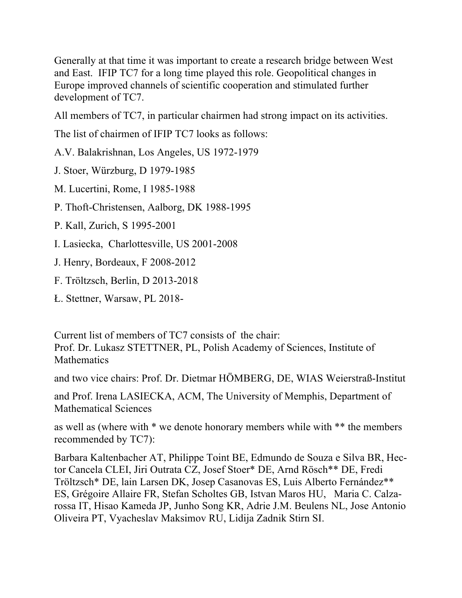Generally at that time it was important to create a research bridge between West and East. IFIP TC7 for a long time played this role. Geopolitical changes in Europe improved channels of scientific cooperation and stimulated further development of TC7.

All members of TC7, in particular chairmen had strong impact on its activities.

The list of chairmen of IFIP TC7 looks as follows:

A.V. Balakrishnan, Los Angeles, US 1972-1979

J. Stoer, Würzburg, D 1979-1985

M. Lucertini, Rome, I 1985-1988

P. Thoft-Christensen, Aalborg, DK 1988-1995

- P. Kall, Zurich, S 1995-2001
- I. Lasiecka, Charlottesville, US 2001-2008
- J. Henry, Bordeaux, F 2008-2012
- F. Tröltzsch, Berlin, D 2013-2018
- Ł. Stettner, Warsaw, PL 2018-

Current list of members of TC7 consists of the chair: Prof. Dr. Lukasz STETTNER, PL, Polish Academy of Sciences, Institute of **Mathematics** 

and two vice chairs: Prof. Dr. Dietmar HÖMBERG, DE, WIAS Weierstraß-Institut

and Prof. Irena LASIECKA, ACM, The University of Memphis, Department of Mathematical Sciences

as well as (where with \* we denote honorary members while with \*\* the members recommended by TC7):

Barbara Kaltenbacher AT, Philippe Toint BE, Edmundo de Souza e Silva BR, Hector Cancela CLEI, Jiri Outrata CZ, Josef Stoer\* DE, Arnd Rösch\*\* DE, Fredi Tröltzsch\* DE, lain Larsen DK, Josep Casanovas ES, Luis Alberto Fernández\*\* ES, Grégoire Allaire FR, Stefan Scholtes GB, Istvan Maros HU, Maria C. Calzarossa IT, Hisao Kameda JP, Junho Song KR, Adrie J.M. Beulens NL, Jose Antonio Oliveira PT, Vyacheslav Maksimov RU, Lidija Zadnik Stirn SI.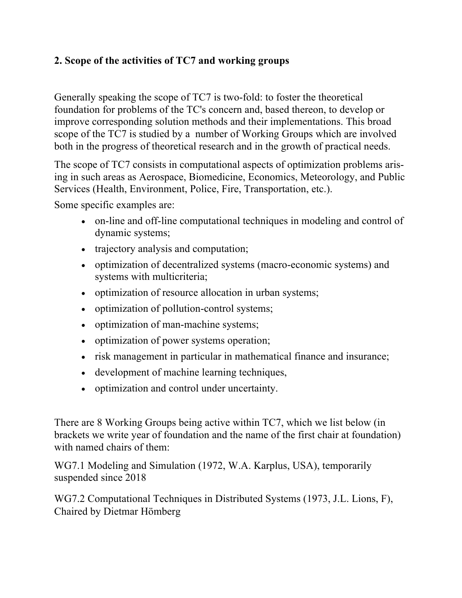### **2. Scope of the activities of TC7 and working groups**

Generally speaking the scope of TC7 is two-fold: to foster the theoretical foundation for problems of the TC's concern and, based thereon, to develop or improve corresponding solution methods and their implementations. This broad scope of the TC7 is studied by a number of Working Groups which are involved both in the progress of theoretical research and in the growth of practical needs.

The scope of TC7 consists in computational aspects of optimization problems arising in such areas as Aerospace, Biomedicine, Economics, Meteorology, and Public Services (Health, Environment, Police, Fire, Transportation, etc.).

Some specific examples are:

- on-line and off-line computational techniques in modeling and control of dynamic systems;
- trajectory analysis and computation;
- optimization of decentralized systems (macro-economic systems) and systems with multicriteria;
- optimization of resource allocation in urban systems;
- optimization of pollution-control systems;
- optimization of man-machine systems;
- optimization of power systems operation;
- risk management in particular in mathematical finance and insurance;
- development of machine learning techniques,
- optimization and control under uncertainty.

There are 8 Working Groups being active within TC7, which we list below (in brackets we write year of foundation and the name of the first chair at foundation) with named chairs of them:

WG7.1 Modeling and Simulation (1972, W.A. Karplus, USA), temporarily suspended since 2018

WG7.2 Computational Techniques in Distributed Systems (1973, J.L. Lions, F), Chaired by Dietmar Hömberg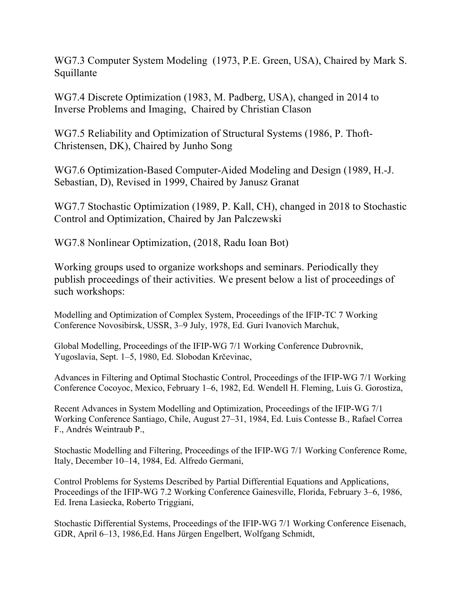WG7.3 Computer System Modeling (1973, P.E. Green, USA), Chaired by Mark S. Squillante

WG7.4 Discrete Optimization (1983, M. Padberg, USA), changed in 2014 to Inverse Problems and Imaging, Chaired by Christian Clason

WG7.5 Reliability and Optimization of Structural Systems (1986, P. Thoft-Christensen, DK), Chaired by Junho Song

WG7.6 Optimization-Based Computer-Aided Modeling and Design (1989, H.-J. Sebastian, D), Revised in 1999, Chaired by Janusz Granat

WG7.7 Stochastic Optimization (1989, P. Kall, CH), changed in 2018 to Stochastic Control and Optimization, Chaired by Jan Palczewski

WG7.8 Nonlinear Optimization, (2018, Radu Ioan Bot)

Working groups used to organize workshops and seminars. Periodically they publish proceedings of their activities. We present below a list of proceedings of such workshops:

Modelling and Optimization of Complex System, Proceedings of the IFIP-TC 7 Working Conference Novosibirsk, USSR, 3–9 July, 1978, Ed. Guri Ivanovich Marchuk,

Global Modelling, Proceedings of the IFIP-WG 7/1 Working Conference Dubrovnik, Yugoslavia, Sept. 1–5, 1980, Ed. Slobodan Krčevinac,

Advances in Filtering and Optimal Stochastic Control, Proceedings of the IFIP-WG 7/1 Working Conference Cocoyoc, Mexico, February 1–6, 1982, Ed. Wendell H. Fleming, Luis G. Gorostiza,

Recent Advances in System Modelling and Optimization, Proceedings of the IFIP-WG 7/1 Working Conference Santiago, Chile, August 27–31, 1984, Ed. Luis Contesse B., Rafael Correa F., Andrés Weintraub P.,

Stochastic Modelling and Filtering, Proceedings of the IFIP-WG 7/1 Working Conference Rome, Italy, December 10–14, 1984, Ed. Alfredo Germani,

Control Problems for Systems Described by Partial Differential Equations and Applications, Proceedings of the IFIP-WG 7.2 Working Conference Gainesville, Florida, February 3–6, 1986, Ed. Irena Lasiecka, Roberto Triggiani,

Stochastic Differential Systems, Proceedings of the IFIP-WG 7/1 Working Conference Eisenach, GDR, April 6–13, 1986,Ed. Hans Jürgen Engelbert, Wolfgang Schmidt,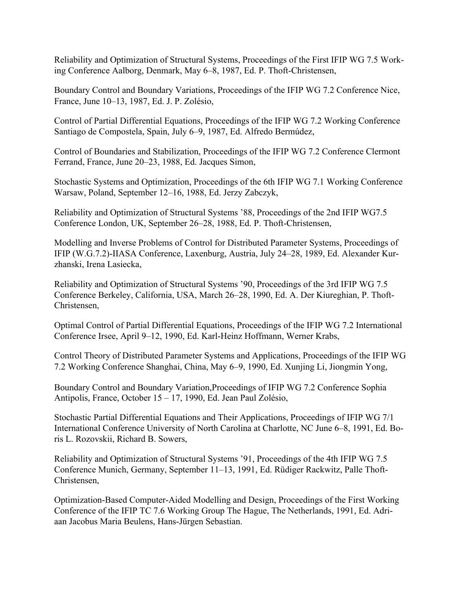Reliability and Optimization of Structural Systems, Proceedings of the First IFIP WG 7.5 Working Conference Aalborg, Denmark, May 6–8, 1987, Ed. P. Thoft-Christensen,

Boundary Control and Boundary Variations, Proceedings of the IFIP WG 7.2 Conference Nice, France, June 10–13, 1987, Ed. J. P. Zolésio,

Control of Partial Differential Equations, Proceedings of the IFIP WG 7.2 Working Conference Santiago de Compostela, Spain, July 6–9, 1987, Ed. Alfredo Bermúdez,

Control of Boundaries and Stabilization, Proceedings of the IFIP WG 7.2 Conference Clermont Ferrand, France, June 20–23, 1988, Ed. Jacques Simon,

Stochastic Systems and Optimization, Proceedings of the 6th IFIP WG 7.1 Working Conference Warsaw, Poland, September 12–16, 1988, Ed. Jerzy Zabczyk,

Reliability and Optimization of Structural Systems '88, Proceedings of the 2nd IFIP WG7.5 Conference London, UK, September 26–28, 1988, Ed. P. Thoft-Christensen,

Modelling and Inverse Problems of Control for Distributed Parameter Systems, Proceedings of IFIP (W.G.7.2)-IIASA Conference, Laxenburg, Austria, July 24–28, 1989, Ed. Alexander Kurzhanski, Irena Lasiecka,

Reliability and Optimization of Structural Systems '90, Proceedings of the 3rd IFIP WG 7.5 Conference Berkeley, California, USA, March 26–28, 1990, Ed. A. Der Kiureghian, P. Thoft-Christensen,

Optimal Control of Partial Differential Equations, Proceedings of the IFIP WG 7.2 International Conference Irsee, April 9–12, 1990, Ed. Karl-Heinz Hoffmann, Werner Krabs,

Control Theory of Distributed Parameter Systems and Applications, Proceedings of the IFIP WG 7.2 Working Conference Shanghai, China, May 6–9, 1990, Ed. Xunjing Li, Jiongmin Yong,

Boundary Control and Boundary Variation,Proceedings of IFIP WG 7.2 Conference Sophia Antipolis, France, October 15 – 17, 1990, Ed. Jean Paul Zolésio,

Stochastic Partial Differential Equations and Their Applications, Proceedings of IFIP WG 7/1 International Conference University of North Carolina at Charlotte, NC June 6–8, 1991, Ed. Boris L. Rozovskii, Richard B. Sowers,

Reliability and Optimization of Structural Systems '91, Proceedings of the 4th IFIP WG 7.5 Conference Munich, Germany, September 11–13, 1991, Ed. Rüdiger Rackwitz, Palle Thoft-Christensen,

Optimization-Based Computer-Aided Modelling and Design, Proceedings of the First Working Conference of the IFIP TC 7.6 Working Group The Hague, The Netherlands, 1991, Ed. Adriaan Jacobus Maria Beulens, Hans-Jürgen Sebastian.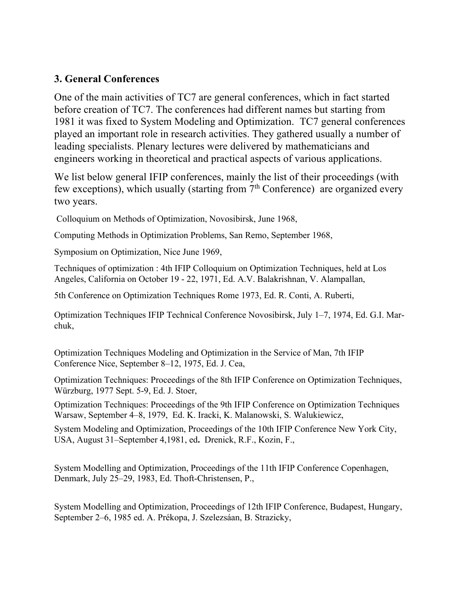#### **3. General Conferences**

One of the main activities of TC7 are general conferences, which in fact started before creation of TC7. The conferences had different names but starting from 1981 it was fixed to System Modeling and Optimization. TC7 general conferences played an important role in research activities. They gathered usually a number of leading specialists. Plenary lectures were delivered by mathematicians and engineers working in theoretical and practical aspects of various applications.

We list below general IFIP conferences, mainly the list of their proceedings (with few exceptions), which usually (starting from  $7<sup>th</sup>$  Conference) are organized every two years.

Colloquium on Methods of Optimization, Novosibirsk, June 1968,

Computing Methods in Optimization Problems, San Remo, September 1968,

Symposium on Optimization, Nice June 1969,

Techniques of optimization : 4th IFIP Colloquium on Optimization Techniques, held at Los Angeles, California on October 19 - 22, 1971, Ed. A.V. Balakrishnan, V. Alampallan,

5th Conference on Optimization Techniques Rome 1973, Ed. R. Conti, A. Ruberti,

Optimization Techniques IFIP Technical Conference Novosibirsk, July 1–7, 1974, Ed. G.I. Marchuk,

Optimization Techniques Modeling and Optimization in the Service of Man, 7th IFIP Conference Nice, September 8–12, 1975, Ed. J. Cea,

Optimization Techniques: Proceedings of the 8th IFIP Conference on Optimization Techniques, Würzburg, 1977 Sept. 5-9, Ed. J. Stoer,

Optimization Techniques: Proceedings of the 9th IFIP Conference on Optimization Techniques Warsaw, September 4–8, 1979, Ed. K. Iracki, K. Malanowski, S. Walukiewicz,

System Modeling and Optimization, Proceedings of the 10th IFIP Conference New York City, USA, August 31–September 4,1981, ed**.** Drenick, R.F., Kozin, F.,

System Modelling and Optimization, Proceedings of the 11th IFIP Conference Copenhagen, Denmark, July 25–29, 1983, Ed. Thoft-Christensen, P.,

System Modelling and Optimization, Proceedings of 12th IFIP Conference, Budapest, Hungary, September 2–6, 1985 ed. A. Prékopa, J. Szelezsáan, B. Strazicky,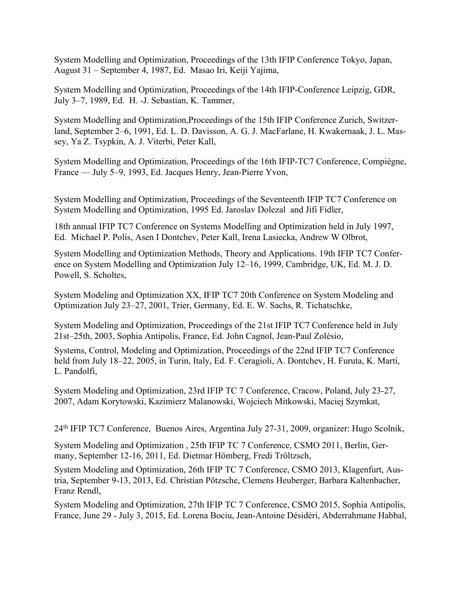System Modelling and Optimization, Proceedings of the 13th IFIP Conference Tokyo, Japan, August 31 – September 4, 1987, Ed. Masao Iri, Keiji Yajima,

System Modelling and Optimization, Proceedings of the 14th IFIP-Conference Leipzig, GDR, July 3–7, 1989, Ed. H. -J. Sebastian, K. Tammer,

System Modelling and Optimization,Proceedings of the 15th IFIP Conference Zurich, Switzerland, September 2–6, 1991, Ed. L. D. Davisson, A. G. J. MacFarlane, H. Kwakernaak, J. L. Massey, Ya Z. Tsypkin, A. J. Viterbi, Peter Kall,

System Modelling and Optimization, Proceedings of the 16th IFIP-TC7 Conference, Compiègne, France — July 5–9, 1993, Ed. Jacques Henry, Jean-Pierre Yvon,

System Modelling and Optimization, Proceedings of the Seventeenth IFIP TC7 Conference on System Modelling and Optimization, 1995 Ed. Jaroslav Dolezal and Jifi Fidler,

18th annual IFIP TC7 Conference on Systems Modelling and Optimization held in July 1997, Ed. Michael P. Polis, Asen I Dontchev, Peter Kall, Irena Lasiecka, Andrew W Olbrot,

System Modelling and Optimization Methods, Theory and Applications. 19th IFIP TC7 Conference on System Modelling and Optimization July 12–16, 1999, Cambridge, UK, Ed. M. J. D. Powell, S. Scholtes,

System Modeling and Optimization XX, IFIP TC7 20th Conference on System Modeling and Optimization July 23–27, 2001, Trier, Germany, Ed. E. W. Sachs, R. Tichatschke,

System Modeling and Optimization, Proceedings of the 21st IFIP TC7 Conference held in July 21st–25th, 2003, Sophia Antipolis, France, Ed. John Cagnol, Jean-Paul Zolésio,

Systems, Control, Modeling and Optimization, Proceedings of the 22nd IFIP TC7 Conference held from July 18–22, 2005, in Turin, Italy, Ed. F. Ceragioli, A. Dontchev, H. Furuta, K. Marti, L. Pandolfi,

System Modeling and Optimization, 23rd IFIP TC 7 Conference, Cracow, Poland, July 23-27, 2007, Adam Korytowski, Kazimierz Malanowski, Wojciech Mitkowski, Maciej Szymkat,

24th IFIP TC7 Conference, Buenos Aires, Argentina July 27-31, 2009, organizer: Hugo Scolnik,

System Modeling and Optimization , 25th IFIP TC 7 Conference, CSMO 2011, Berlin, Germany, September 12-16, 2011, Ed. Dietmar Hömberg, Fredi Tröltzsch,

System Modeling and Optimization, 26th IFIP TC 7 Conference, CSMO 2013, Klagenfurt, Austria, September 9-13, 2013, Ed. Christian Pötzsche, Clemens Heuberger, Barbara Kaltenbacher, Franz Rendl,

System Modeling and Optimization, 27th IFIP TC 7 Conference, CSMO 2015, Sophia Antipolis, France, June 29 - July 3, 2015, Ed. Lorena Bociu, Jean-Antoine Désidéri, Abderrahmane Habbal,